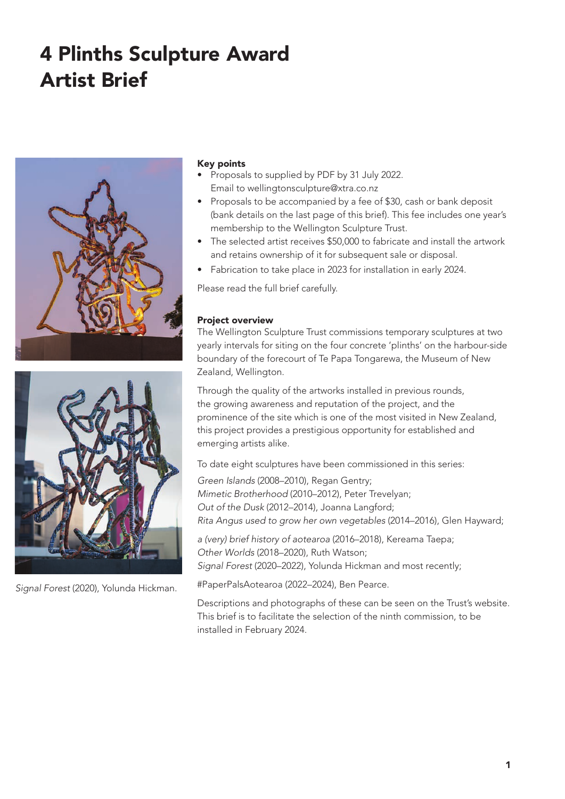# 60G NN RP2V2N RPV021F G BV Artist Brief

## Key points

- Proposals to supplied by PDF by 31 July 2022. Email to wellingtonsculpture@xtra.co.nz
- Proposals to be accompanied by a fee of \$30, cash or bank deposit (bank details on the last page of this brief). This fee includes one year's membership to the Wellington Sculpture Trust.
- The selected artist receives \$50,000 to fabricate and install the artwork and retains ownership of it for subsequent sale or disposal.
- Fabrication to take place in 2023 for installation in early 2024.

Please read the full brief carefully.

### Project overview

The Wellington Sculpture Trust commissions temporary sculptures at two yearly intervals for siting on the four concrete 'plinths' on the harbour-side boundary of the forecourt of Te Papa Tongarewa, the Museum of New Zealand, Wellington.

Through the quality of the artworks installed in previous rounds, the growing awareness and reputation of the project, and the prominence of the site which is one of the most visited in New Zealand, this project provides a prestigious opportunity for established and emerging artists alike.

To date eight sculptures have been commissioned in this series: *Green Islands* (2008–2010), Regan Gentry; *Mimetic Brotherhood* (2010–2012), Peter Trevelyan; *Out of the Dusk* (2012–2014), Joanna Langford; *Rita Angus used to grow her own vegetables* (2014–2016), Glen Hayward;

*a (very) brief history of aotearoa* (2016–2018), Kereama Taepa; *Other Worlds* (2018–2020), Ruth Watson; *Signal Forest* (2020–2022), Yolunda Hickman and most recently;

#PaperPalsAotearoa (2022–2024), Ben Pearce.

Descriptions and photographs of these can be seen on the Trust's website. This brief is to facilitate the selection of the ninth commission, to be installed in February 2024.



2GN2CN2CN2 į -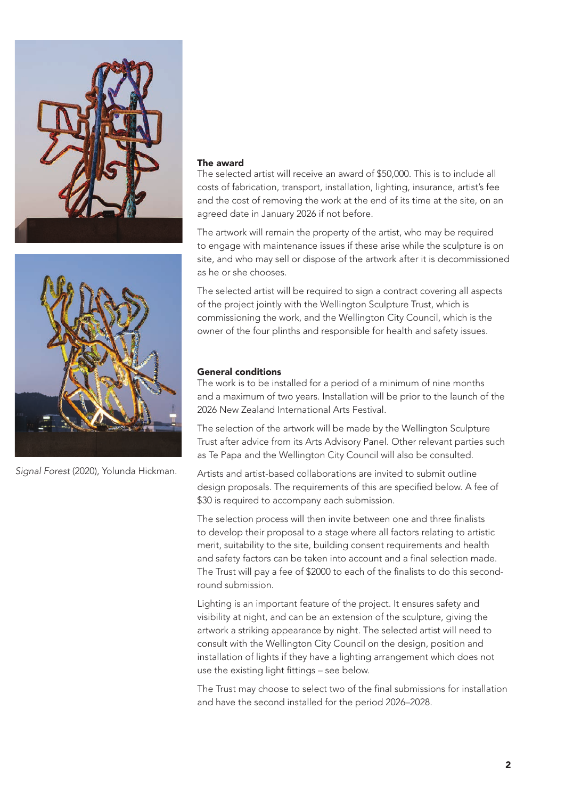



#PaperPalsAotearoa (2022), Ben Pearce.

## The award

The selected artist will receive a commission of \$50,000. This is to include all costs of fabrication, transport, installation, lighting, insurance, artist's fee and the cost of removing the work at the end of its time at the site, on an agreed date in January 2026 if not before.

The artwork will remain the property of the artist, who may be required to engage with maintenance issues if these arise while the sculpture is on site, and who may sell or dispose of the artwork after it is decommissioned as the artist chooses.

The selected artist will be required to sign a contract covering all aspects of the project jointly with the Wellington Sculpture Trust, which is commissioning the work, and the Wellington City Council, which is the owner of the four plinths and responsible for health and safety issues.

# Collin Post

The Collin Post 4 Plinths Project celebrates and commemorates the late Collin Post and his love of the arts, in particular sculpture. He was a stalwart of the Trust over many years, and always supported our projects, events and our artists. Collin sadly passed away in September 2019.

## General conditions

The work is to be installed for a period of a minimum of nine months and a maximum of two years. Installation will be prior to the launch of the 2026 New Zealand International Arts Festival.

The selection of the artwork will be made by the Wellington Sculpture Trust after advice from its Arts Advisory Panel. Other relevant parties such as Te Papa and the Wellington City Council will also be consulted.

Artists and artist-based collaborations are invited to submit outline design proposals. The requirements of this are specified below. A fee of \$30 is required to accompany each submission.

The selection process will then invite between one and three finalists to develop their proposal to a stage where all factors relating to artistic merit, suitability to the site, building consent requirements and health and safety factors can be taken into account and a final selection made. The Trust will pay a fee of \$2000 to each of the finalists to do this secondround submission.

Lighting is an important feature of the project. It ensures safety and visibility at night, and can be an extension of the sculpture, giving the artwork a striking appearance by night. The selected artist will need to consult with the Wellington City Council on the design, position and installation of lights if they have a lighting arrangement which does not use the existing light fittings – see below.

The Trust may choose to select two of the final submissions for installation and have the second installed for the period 2026–2028.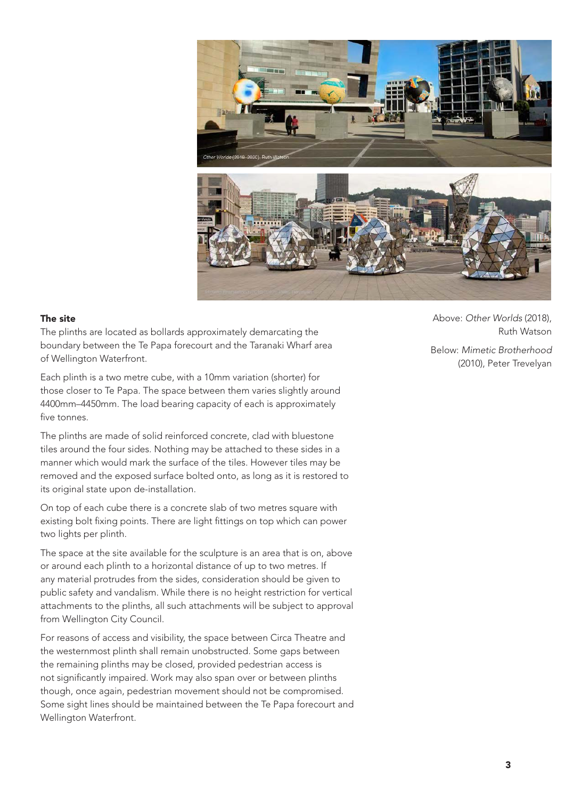

#### The site

The plinths are located as bollards approximately demarcating the boundary between the Te Papa forecourt and the Taranaki Wharf area of Wellington Waterfront.

Each plinth is a two metre cube, with a 10mm variation (shorter) for those closer to Te Papa. The space between them varies slightly around 4400mm–4450mm. The load bearing capacity of each is approximately five tonnes.

The plinths are made of solid reinforced concrete, clad with bluestone tiles around the four sides. Nothing may be attached to these sides in a manner which would mark the surface of the tiles. However tiles may be removed and the exposed surface bolted onto, as long as it is restored to its original state upon de-installation.

On top of each cube there is a concrete slab of two metres square with existing bolt fixing points. There are light fittings on top which can power two lights per plinth.

The space at the site available for the sculpture is an area that is on, above or around each plinth to a horizontal distance of up to two metres. If any material protrudes from the sides, consideration should be given to public safety and vandalism. While there is no height restriction for vertical attachments to the plinths, all such attachments will be subject to approval from Wellington City Council.

For reasons of access and visibility, the space between Circa Theatre and the westernmost plinth shall remain unobstructed. Some gaps between the remaining plinths may be closed, provided pedestrian access is not significantly impaired. Work may also span over or between plinths though, once again, pedestrian movement should not be compromised. Some sight lines should be maintained between the Te Papa forecourt and Wellington Waterfront.

Above: *Other Worlds* (2018), Ruth Watson Below: *Mimetic Brotherhood*

(2010), Peter Trevelyan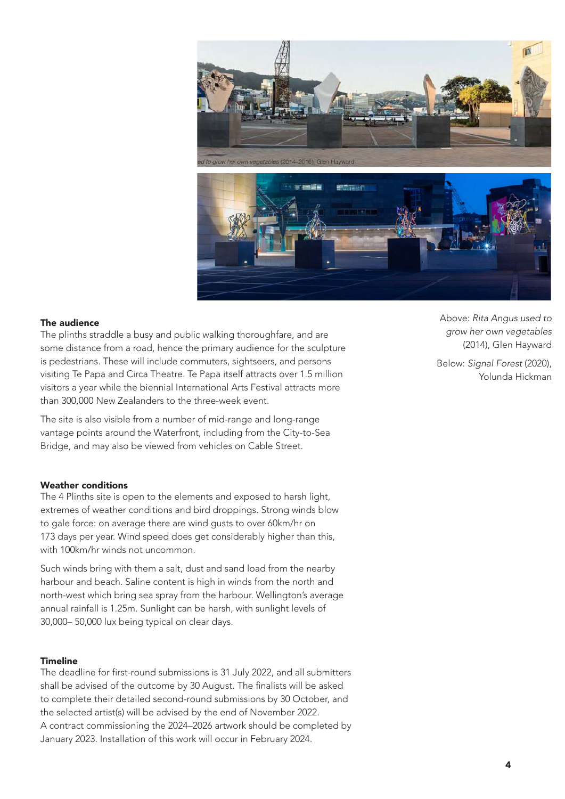

#### The audience

The plinths straddle a busy and public walking thoroughfare, and are some distance from a road, hence the primary audience for the sculpture is pedestrians. These will include commuters, sightseers, and persons visiting Te Papa and Circa Theatre. Te Papa itself attracts over 1.5 million visitors a year while the biennial International Arts Festival attracts more than 300,000 New Zealanders to the three-week event.

The site is also visible from a number of mid-range and long-range vantage points around the Waterfront, including from the City-to-Sea Bridge, and may also be viewed from vehicles on Cable Street.

#### Weather conditions

The 4 Plinths site is open to the elements and exposed to harsh light, extremes of weather conditions and bird droppings. Strong winds blow to gale force: on average there are wind gusts to over 60km/hr on 173 days per year. Wind speed does get considerably higher than this, with 100km/hr winds not uncommon.

Such winds bring with them a salt, dust and sand load from the nearby harbour and beach. Saline content is high in winds from the north and north-west which bring sea spray from the harbour. Wellington's average annual rainfall is 1.25m. Sunlight can be harsh, with sunlight levels of 30,000– 50,000 lux being typical on clear days.

#### Timeline

The deadline for first-round submissions is 31 July 2022, and all submitters shall be advised of the outcome by 30 August. The finalists will be asked to complete their detailed second-round submissions by 30 October, and the selected artist(s) will be advised by the end of November 2022. A contract commissioning the 2024–2026 artwork should be completed by January 2023. Installation of this work will occur in February 2024.

Above: *Rita Angus used to grow her own vegetables* (2014), Glen Hayward

Below: *Signal Forest* (2020), Yolunda Hickman